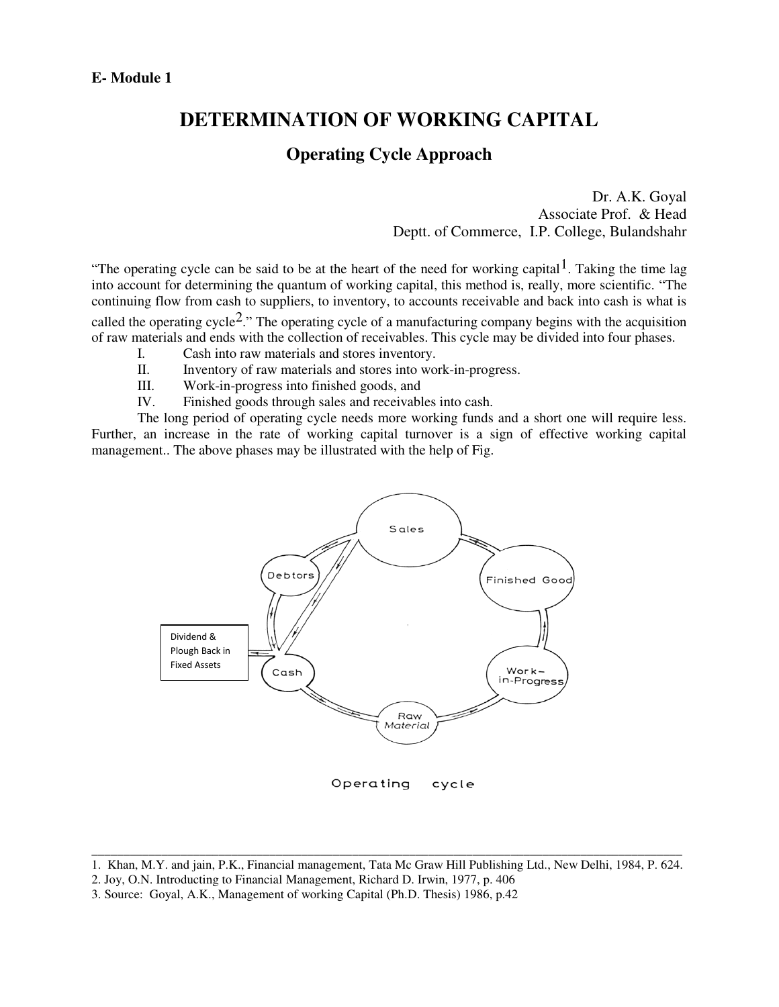## **DETERMINATION OF WORKING CAPITAL**

### **Operating Cycle Approach**

Dr. A.K. Goyal Associate Prof. & Head Deptt. of Commerce, I.P. College, Bulandshahr

"The operating cycle can be said to be at the heart of the need for working capital<sup>1</sup>. Taking the time lag into account for determining the quantum of working capital, this method is, really, more scientific. "The continuing flow from cash to suppliers, to inventory, to accounts receivable and back into cash is what is called the operating cycle<sup>2</sup>." The operating cycle of a manufacturing company begins with the acquisition of raw materials and ends with the collection of receivables. This cycle may be divided into four phases.

- I. Cash into raw materials and stores inventory.
- II. Inventory of raw materials and stores into work-in-progress.
- III. Work-in-progress into finished goods, and<br>IV. Finished goods through sales and receivable
- Finished goods through sales and receivables into cash.

 The long period of operating cycle needs more working funds and a short one will require less. Further, an increase in the rate of working capital turnover is a sign of effective working capital management.. The above phases may be illustrated with the help of Fig.



2. Joy, O.N. Introducting to Financial Management, Richard D. Irwin, 1977, p. 406

\_\_\_\_\_\_\_\_\_\_\_\_\_\_\_\_\_\_\_\_\_\_\_\_\_\_\_\_\_\_\_\_\_\_\_\_\_\_\_\_\_\_\_\_\_\_\_\_\_\_\_\_\_\_\_\_\_\_\_\_\_\_\_\_\_\_\_\_\_\_\_\_\_\_\_\_\_\_\_\_\_\_\_\_\_\_\_\_\_\_\_\_\_ 1. Khan, M.Y. and jain, P.K., Financial management, Tata Mc Graw Hill Publishing Ltd., New Delhi, 1984, P. 624.

<sup>3.</sup> Source: Goyal, A.K., Management of working Capital (Ph.D. Thesis) 1986, p.42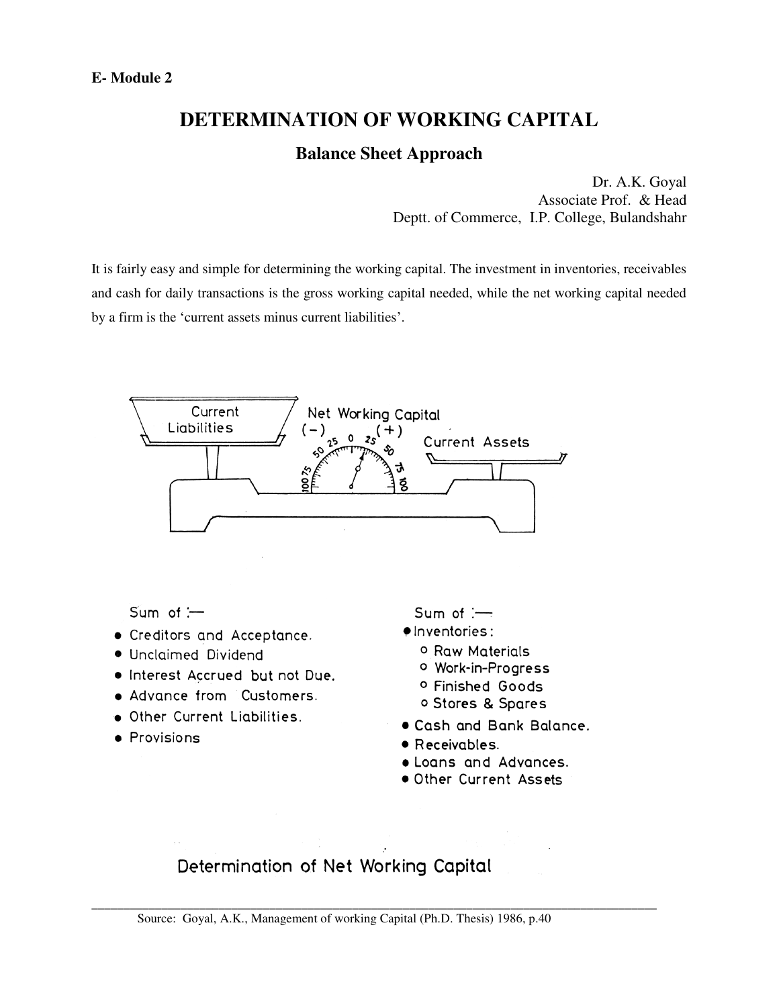# **DETERMINATION OF WORKING CAPITAL**

### **Balance Sheet Approach**

Dr. A.K. Goyal Associate Prof. & Head Deptt. of Commerce, I.P. College, Bulandshahr

It is fairly easy and simple for determining the working capital. The investment in inventories, receivables and cash for daily transactions is the gross working capital needed, while the net working capital needed by a firm is the 'current assets minus current liabilities'.



# Determination of Net Working Capital

Source: Goyal, A.K., Management of working Capital (Ph.D. Thesis) 1986, p.40

\_\_\_\_\_\_\_\_\_\_\_\_\_\_\_\_\_\_\_\_\_\_\_\_\_\_\_\_\_\_\_\_\_\_\_\_\_\_\_\_\_\_\_\_\_\_\_\_\_\_\_\_\_\_\_\_\_\_\_\_\_\_\_\_\_\_\_\_\_\_\_\_\_\_\_\_\_\_\_\_\_\_\_\_\_\_\_\_\_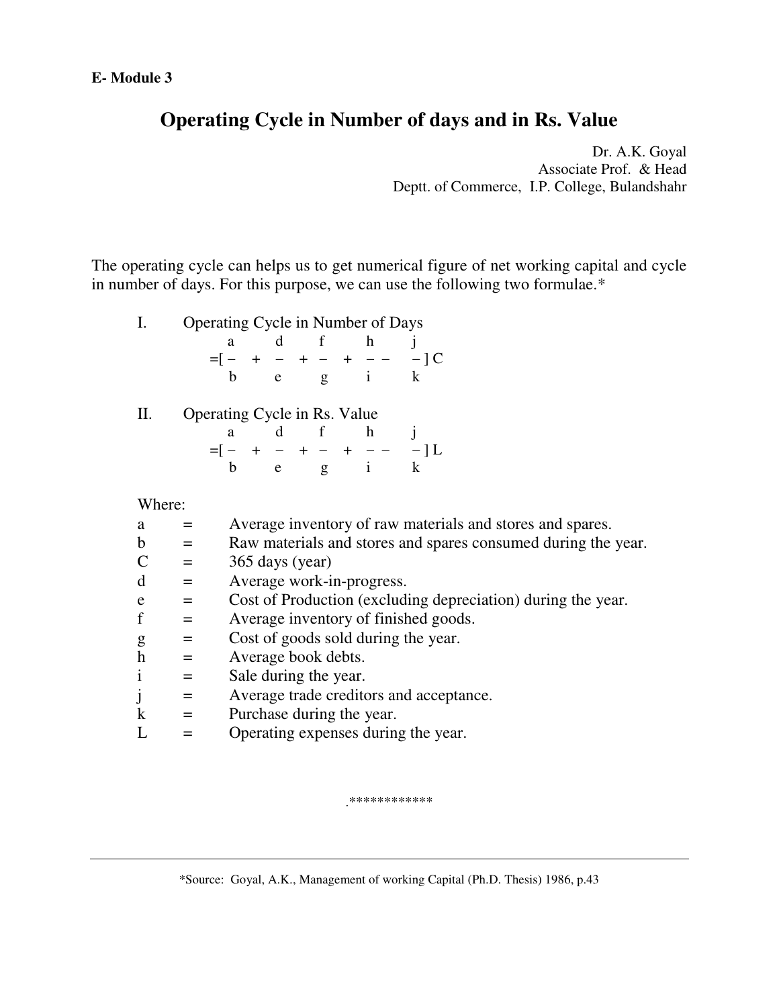# **Operating Cycle in Number of days and in Rs. Value**

Dr. A.K. Goyal Associate Prof. & Head Deptt. of Commerce, I.P. College, Bulandshahr

The operating cycle can helps us to get numerical figure of net working capital and cycle in number of days. For this purpose, we can use the following two formulae.\*

| Operating Cycle in Number of Days |  |               |  |       |
|-----------------------------------|--|---------------|--|-------|
|                                   |  | d f h         |  |       |
| $= - + - + - + - -$               |  |               |  | $-1C$ |
|                                   |  | $e \t g \t 1$ |  |       |

| Operating Cycle in Rs. Value |  |               |  |        |
|------------------------------|--|---------------|--|--------|
|                              |  | a d f         |  |        |
|                              |  |               |  | $-11.$ |
|                              |  | $e \t g \t i$ |  |        |

Where:

| a                         |     | Average inventory of raw materials and stores and spares.     |
|---------------------------|-----|---------------------------------------------------------------|
| b                         | $=$ | Raw materials and stores and spares consumed during the year. |
| C                         | $=$ | 365 days (year)                                               |
| d                         | $=$ | Average work-in-progress.                                     |
| e                         | $=$ | Cost of Production (excluding depreciation) during the year.  |
| f                         | $=$ | Average inventory of finished goods.                          |
| g                         | $=$ | Cost of goods sold during the year.                           |
| $\boldsymbol{\mathrm{h}}$ | $=$ | Average book debts.                                           |
|                           | $=$ | Sale during the year.                                         |
|                           | $=$ | Average trade creditors and acceptance.                       |
| k                         | $=$ | Purchase during the year.                                     |
|                           |     | Operating expenses during the year.                           |
|                           |     |                                                               |

.\*\*\*\*\*\*\*\*\*\*\*\*

\*Source: Goyal, A.K., Management of working Capital (Ph.D. Thesis) 1986, p.43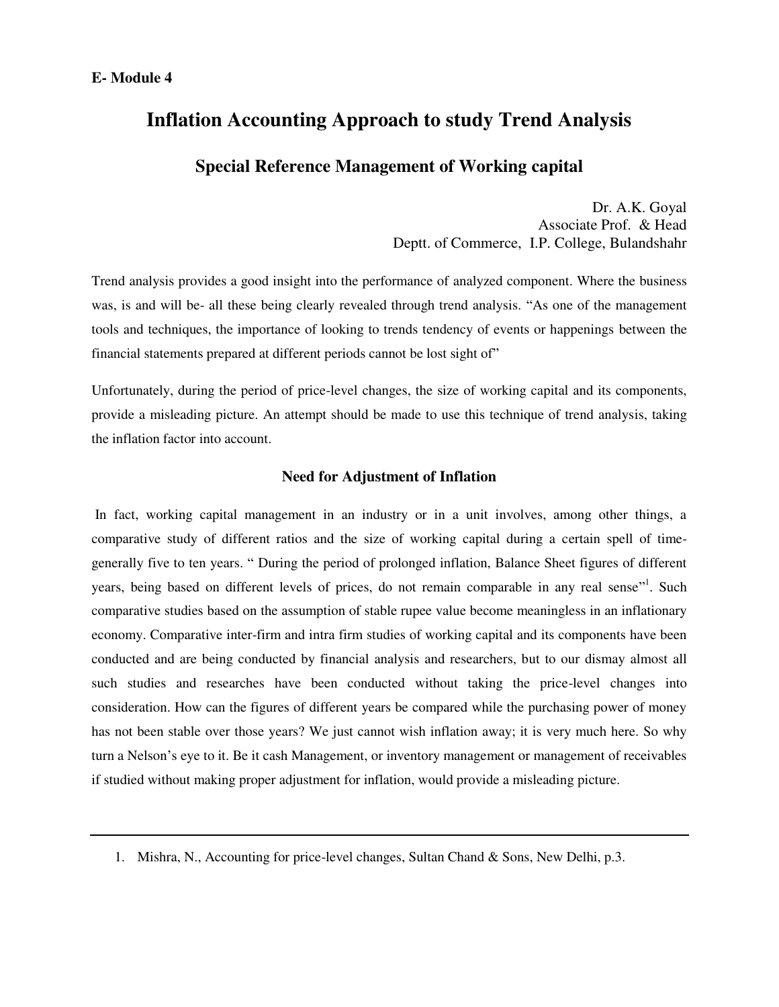# **Inflation Accounting Approach to study Trend Analysis**

### **Special Reference Management of Working capital**

Dr. A.K. Goyal Associate Prof. & Head Deptt. of Commerce, I.P. College, Bulandshahr

Trend analysis provides a good insight into the performance of analyzed component. Where the business was, is and will be- all these being clearly revealed through trend analysis. "As one of the management tools and techniques, the importance of looking to trends tendency of events or happenings between the financial statements prepared at different periods cannot be lost sight of"

Unfortunately, during the period of price-level changes, the size of working capital and its components, provide a misleading picture. An attempt should be made to use this technique of trend analysis, taking the inflation factor into account.

#### **Need for Adjustment of Inflation**

In fact, working capital management in an industry or in a unit involves, among other things, a comparative study of different ratios and the size of working capital during a certain spell of timegenerally five to ten years. " During the period of prolonged inflation, Balance Sheet figures of different years, being based on different levels of prices, do not remain comparable in any real sense"<sup>1</sup>. Such comparative studies based on the assumption of stable rupee value become meaningless in an inflationary economy. Comparative inter-firm and intra firm studies of working capital and its components have been conducted and are being conducted by financial analysis and researchers, but to our dismay almost all such studies and researches have been conducted without taking the price-level changes into consideration. How can the figures of different years be compared while the purchasing power of money has not been stable over those years? We just cannot wish inflation away; it is very much here. So why turn a Nelson's eye to it. Be it cash Management, or inventory management or management of receivables if studied without making proper adjustment for inflation, would provide a misleading picture.

<sup>1.</sup> Mishra, N., Accounting for price-level changes, Sultan Chand & Sons, New Delhi, p.3.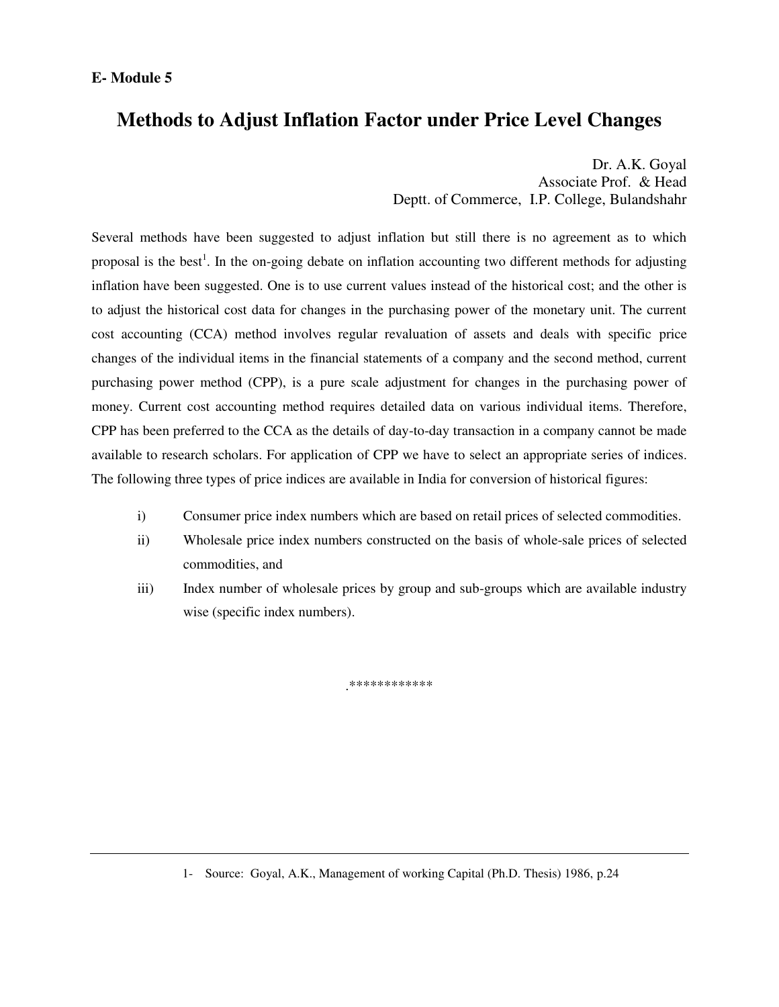## **Methods to Adjust Inflation Factor under Price Level Changes**

Dr. A.K. Goyal Associate Prof. & Head Deptt. of Commerce, I.P. College, Bulandshahr

Several methods have been suggested to adjust inflation but still there is no agreement as to which proposal is the best<sup>1</sup>. In the on-going debate on inflation accounting two different methods for adjusting inflation have been suggested. One is to use current values instead of the historical cost; and the other is to adjust the historical cost data for changes in the purchasing power of the monetary unit. The current cost accounting (CCA) method involves regular revaluation of assets and deals with specific price changes of the individual items in the financial statements of a company and the second method, current purchasing power method (CPP), is a pure scale adjustment for changes in the purchasing power of money. Current cost accounting method requires detailed data on various individual items. Therefore, CPP has been preferred to the CCA as the details of day-to-day transaction in a company cannot be made available to research scholars. For application of CPP we have to select an appropriate series of indices. The following three types of price indices are available in India for conversion of historical figures:

- i) Consumer price index numbers which are based on retail prices of selected commodities.
- ii) Wholesale price index numbers constructed on the basis of whole-sale prices of selected commodities, and
- iii) Index number of wholesale prices by group and sub-groups which are available industry wise (specific index numbers).

.\*\*\*\*\*\*\*\*\*\*\*\*

<sup>1-</sup> Source: Goyal, A.K., Management of working Capital (Ph.D. Thesis) 1986, p.24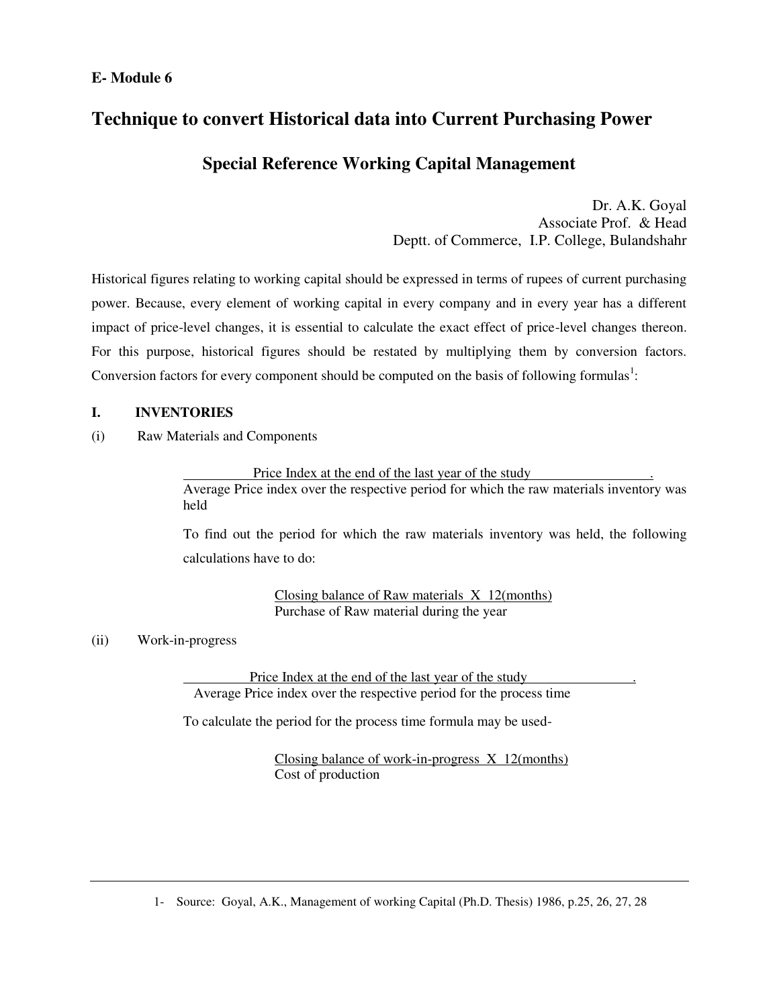#### **E- Module 6**

### **Technique to convert Historical data into Current Purchasing Power**

### **Special Reference Working Capital Management**

Dr. A.K. Goyal Associate Prof. & Head Deptt. of Commerce, I.P. College, Bulandshahr

Historical figures relating to working capital should be expressed in terms of rupees of current purchasing power. Because, every element of working capital in every company and in every year has a different impact of price-level changes, it is essential to calculate the exact effect of price-level changes thereon. For this purpose, historical figures should be restated by multiplying them by conversion factors. Conversion factors for every component should be computed on the basis of following formulas<sup>1</sup>:

#### **I. INVENTORIES**

(i) Raw Materials and Components

Price Index at the end of the last year of the study .

Average Price index over the respective period for which the raw materials inventory was held

To find out the period for which the raw materials inventory was held, the following calculations have to do:

> Closing balance of Raw materials X 12(months) Purchase of Raw material during the year

#### (ii) Work-in-progress

 Price Index at the end of the last year of the study . Average Price index over the respective period for the process time

To calculate the period for the process time formula may be used-

Closing balance of work-in-progress X 12(months) Cost of production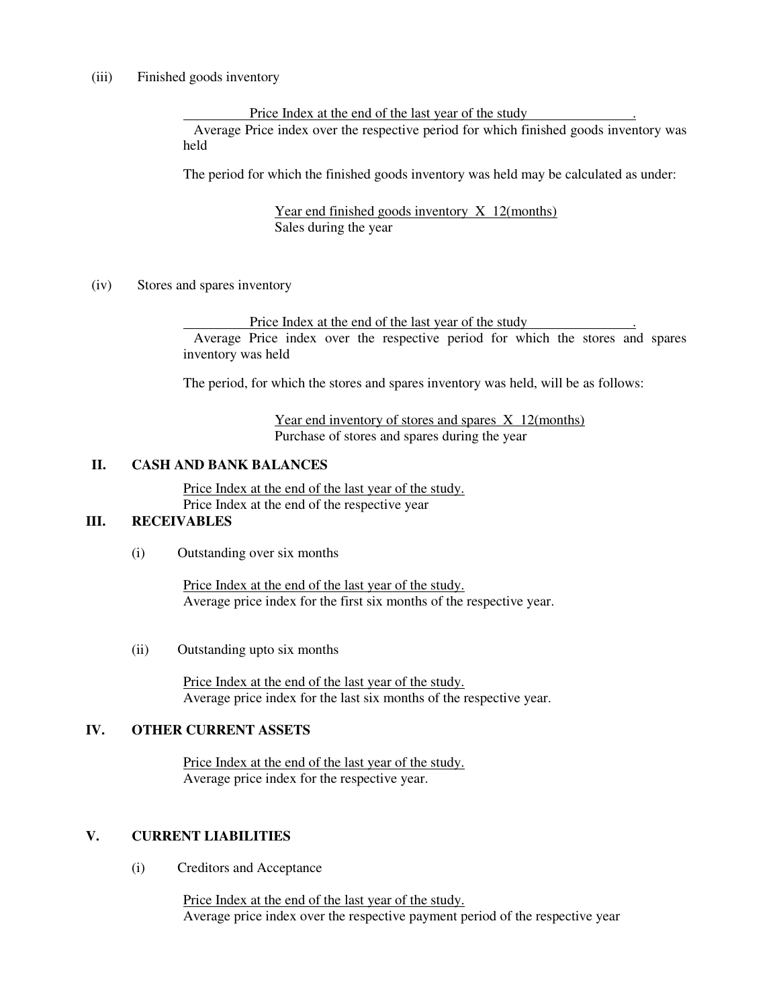(iii) Finished goods inventory

 Price Index at the end of the last year of the study . Average Price index over the respective period for which finished goods inventory was held

The period for which the finished goods inventory was held may be calculated as under:

Year end finished goods inventory X 12(months) Sales during the year

(iv) Stores and spares inventory

 Price Index at the end of the last year of the study . Average Price index over the respective period for which the stores and spares inventory was held

The period, for which the stores and spares inventory was held, will be as follows:

Year end inventory of stores and spares X 12(months) Purchase of stores and spares during the year

#### **II. CASH AND BANK BALANCES**

Price Index at the end of the last year of the study. Price Index at the end of the respective year

#### **III. RECEIVABLES**

(i) Outstanding over six months

Price Index at the end of the last year of the study. Average price index for the first six months of the respective year.

(ii) Outstanding upto six months

Price Index at the end of the last year of the study. Average price index for the last six months of the respective year.

#### **IV. OTHER CURRENT ASSETS**

Price Index at the end of the last year of the study. Average price index for the respective year.

#### **V. CURRENT LIABILITIES**

(i) Creditors and Acceptance

Price Index at the end of the last year of the study. Average price index over the respective payment period of the respective year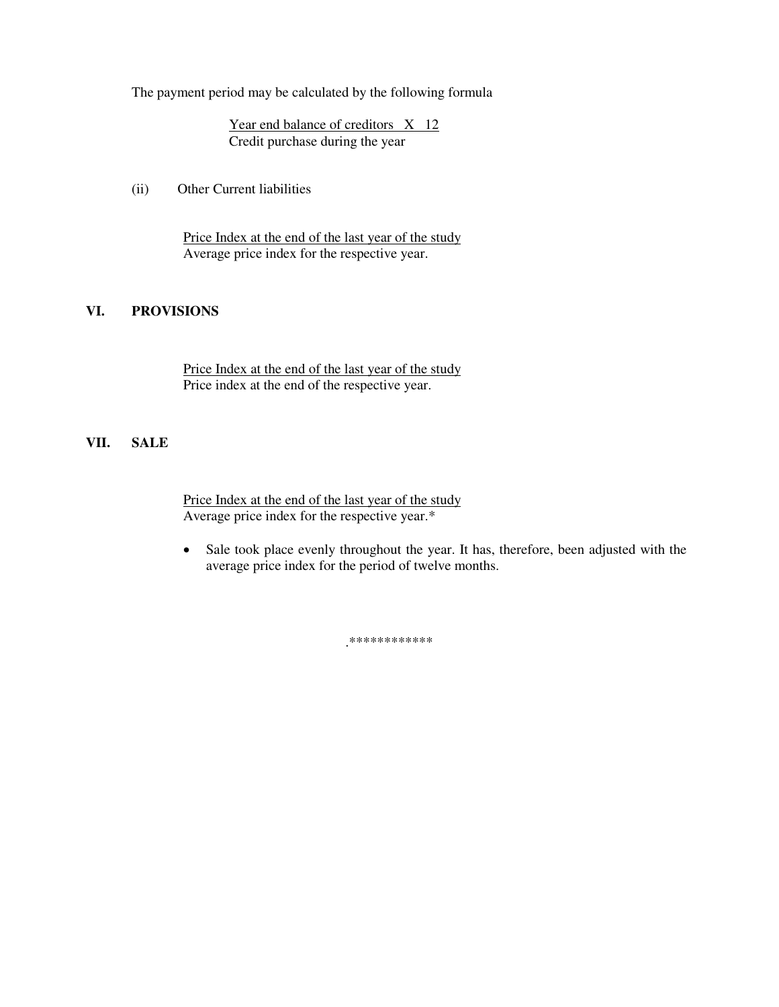The payment period may be calculated by the following formula

Year end balance of creditors X 12 Credit purchase during the year

(ii) Other Current liabilities

Price Index at the end of the last year of the study Average price index for the respective year.

#### **VI. PROVISIONS**

Price Index at the end of the last year of the study Price index at the end of the respective year.

#### **VII. SALE**

Price Index at the end of the last year of the study Average price index for the respective year.\*

• Sale took place evenly throughout the year. It has, therefore, been adjusted with the average price index for the period of twelve months.

.\*\*\*\*\*\*\*\*\*\*\*\*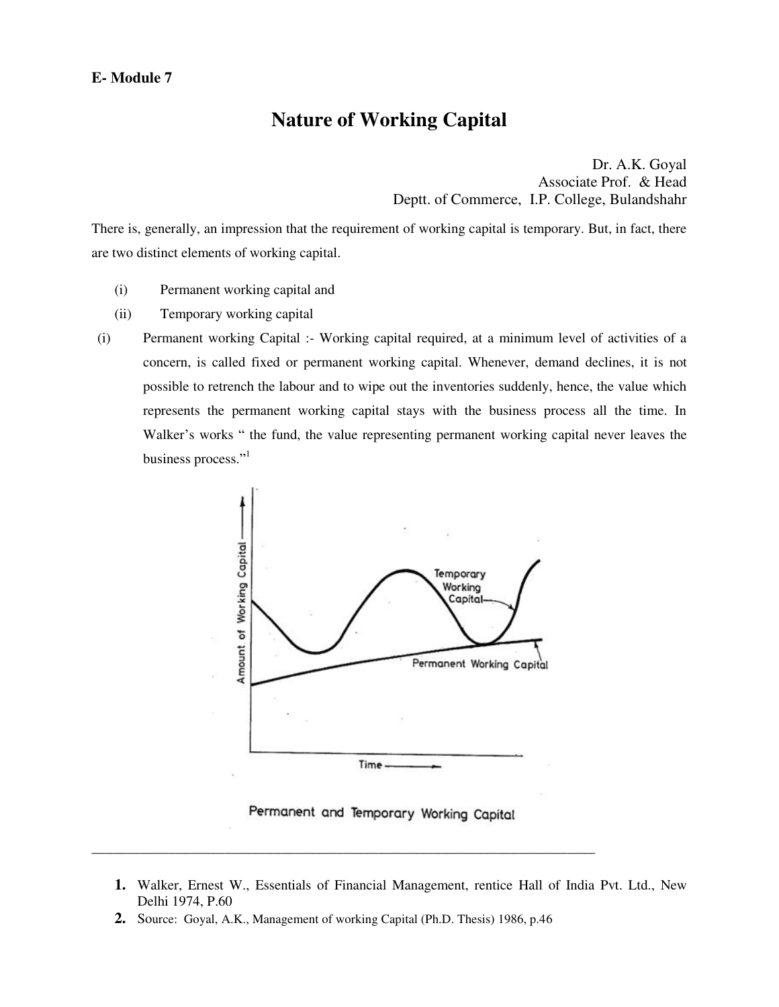### **Nature of Working Capital**

Dr. A.K. Goyal Associate Prof. & Head Deptt. of Commerce, I.P. College, Bulandshahr

There is, generally, an impression that the requirement of working capital is temporary. But, in fact, there are two distinct elements of working capital.

- (i) Permanent working capital and
- (ii) Temporary working capital
- (i) Permanent working Capital :- Working capital required, at a minimum level of activities of a concern, is called fixed or permanent working capital. Whenever, demand declines, it is not possible to retrench the labour and to wipe out the inventories suddenly, hence, the value which represents the permanent working capital stays with the business process all the time. In Walker's works " the fund, the value representing permanent working capital never leaves the business process." 1



Permanent and Temporary Working Capital

- **1.** Walker, Ernest W., Essentials of Financial Management, rentice Hall of India Pvt. Ltd., New Delhi 1974, P.60
- **2.** Source: Goyal, A.K., Management of working Capital (Ph.D. Thesis) 1986, p.46

\_\_\_\_\_\_\_\_\_\_\_\_\_\_\_\_\_\_\_\_\_\_\_\_\_\_\_\_\_\_\_\_\_\_\_\_\_\_\_\_\_\_\_\_\_\_\_\_\_\_\_\_\_\_\_\_\_\_\_\_\_\_\_\_\_\_\_\_\_\_\_\_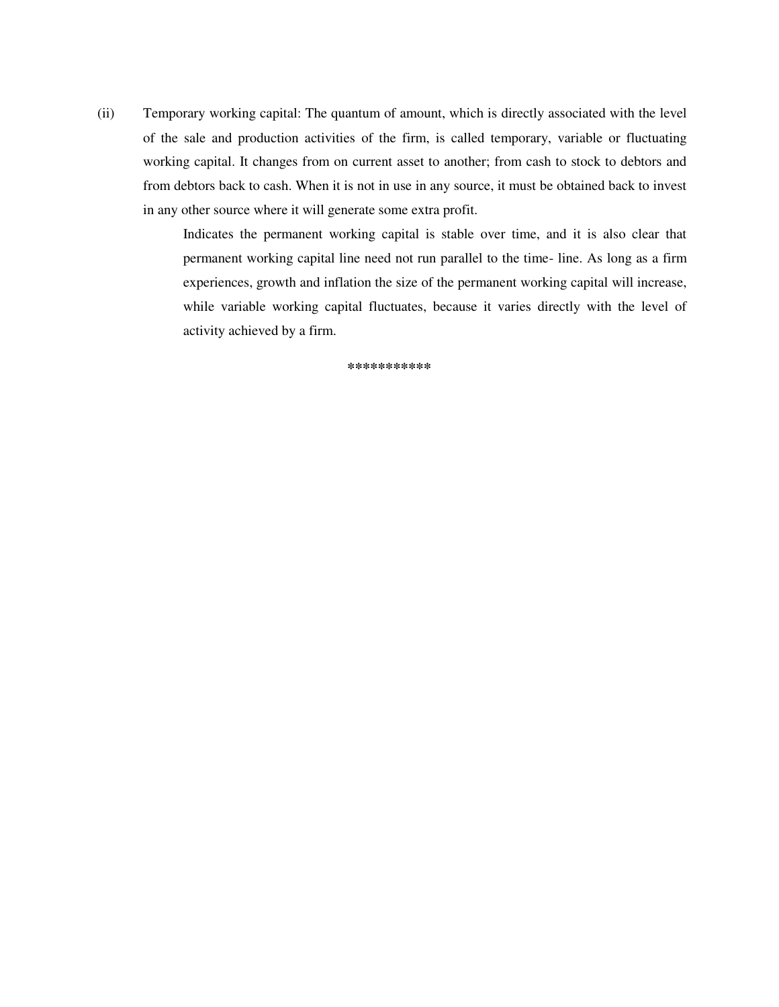(ii) Temporary working capital: The quantum of amount, which is directly associated with the level of the sale and production activities of the firm, is called temporary, variable or fluctuating working capital. It changes from on current asset to another; from cash to stock to debtors and from debtors back to cash. When it is not in use in any source, it must be obtained back to invest in any other source where it will generate some extra profit.

> Indicates the permanent working capital is stable over time, and it is also clear that permanent working capital line need not run parallel to the time- line. As long as a firm experiences, growth and inflation the size of the permanent working capital will increase, while variable working capital fluctuates, because it varies directly with the level of activity achieved by a firm.

> > **\*\*\*\*\*\*\*\*\*\*\***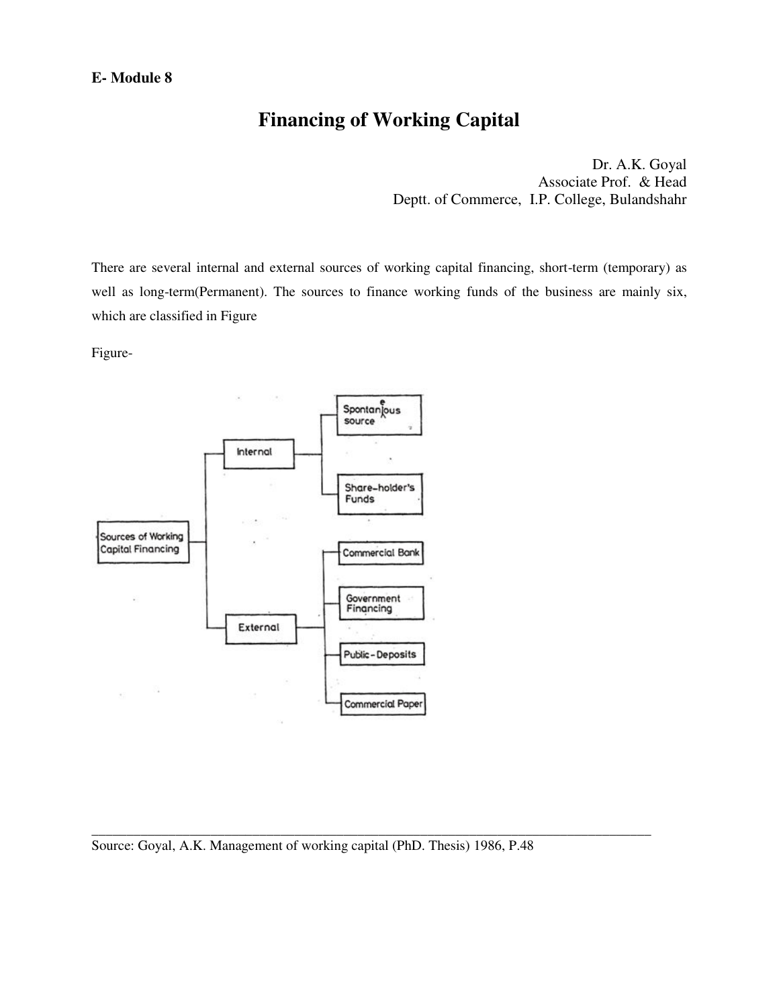# **Financing of Working Capital**

Dr. A.K. Goyal Associate Prof. & Head Deptt. of Commerce, I.P. College, Bulandshahr

There are several internal and external sources of working capital financing, short-term (temporary) as well as long-term(Permanent). The sources to finance working funds of the business are mainly six, which are classified in Figure

Figure-



\_\_\_\_\_\_\_\_\_\_\_\_\_\_\_\_\_\_\_\_\_\_\_\_\_\_\_\_\_\_\_\_\_\_\_\_\_\_\_\_\_\_\_\_\_\_\_\_\_\_\_\_\_\_\_\_\_\_\_\_\_\_\_\_\_\_\_\_\_\_\_\_\_\_\_\_\_\_\_\_

Source: Goyal, A.K. Management of working capital (PhD. Thesis) 1986, P.48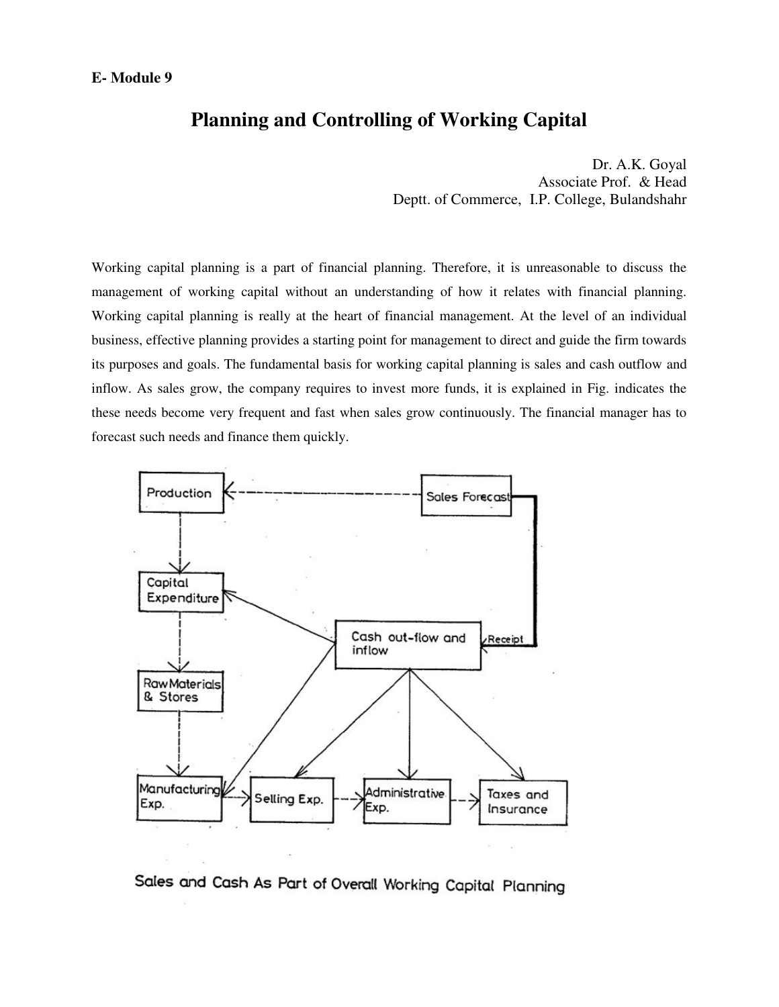### **Planning and Controlling of Working Capital**

Dr. A.K. Goyal Associate Prof. & Head Deptt. of Commerce, I.P. College, Bulandshahr

Working capital planning is a part of financial planning. Therefore, it is unreasonable to discuss the management of working capital without an understanding of how it relates with financial planning. Working capital planning is really at the heart of financial management. At the level of an individual business, effective planning provides a starting point for management to direct and guide the firm towards its purposes and goals. The fundamental basis for working capital planning is sales and cash outflow and inflow. As sales grow, the company requires to invest more funds, it is explained in Fig. indicates the these needs become very frequent and fast when sales grow continuously. The financial manager has to forecast such needs and finance them quickly.



Sales and Cash As Part of Overall Working Capital Planning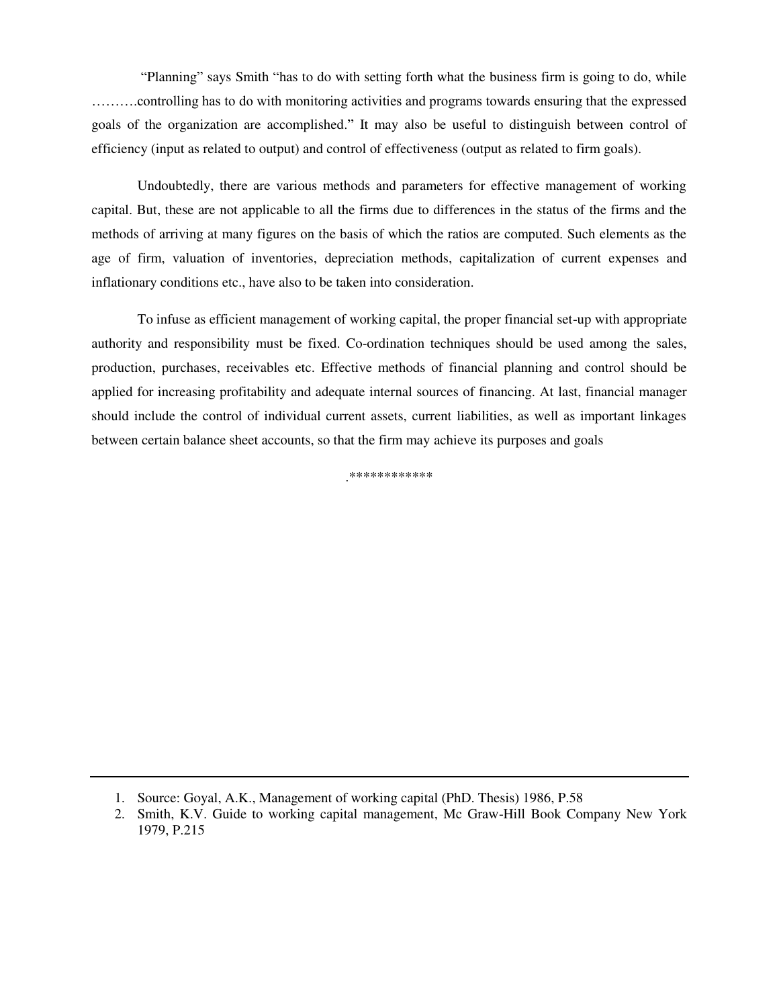"Planning" says Smith "has to do with setting forth what the business firm is going to do, while ……….controlling has to do with monitoring activities and programs towards ensuring that the expressed goals of the organization are accomplished." It may also be useful to distinguish between control of efficiency (input as related to output) and control of effectiveness (output as related to firm goals).

Undoubtedly, there are various methods and parameters for effective management of working capital. But, these are not applicable to all the firms due to differences in the status of the firms and the methods of arriving at many figures on the basis of which the ratios are computed. Such elements as the age of firm, valuation of inventories, depreciation methods, capitalization of current expenses and inflationary conditions etc., have also to be taken into consideration.

To infuse as efficient management of working capital, the proper financial set-up with appropriate authority and responsibility must be fixed. Co-ordination techniques should be used among the sales, production, purchases, receivables etc. Effective methods of financial planning and control should be applied for increasing profitability and adequate internal sources of financing. At last, financial manager should include the control of individual current assets, current liabilities, as well as important linkages between certain balance sheet accounts, so that the firm may achieve its purposes and goals

.\*\*\*\*\*\*\*\*\*\*\*\*

<sup>1.</sup> Source: Goyal, A.K., Management of working capital (PhD. Thesis) 1986, P.58

<sup>2.</sup> Smith, K.V. Guide to working capital management, Mc Graw-Hill Book Company New York 1979, P.215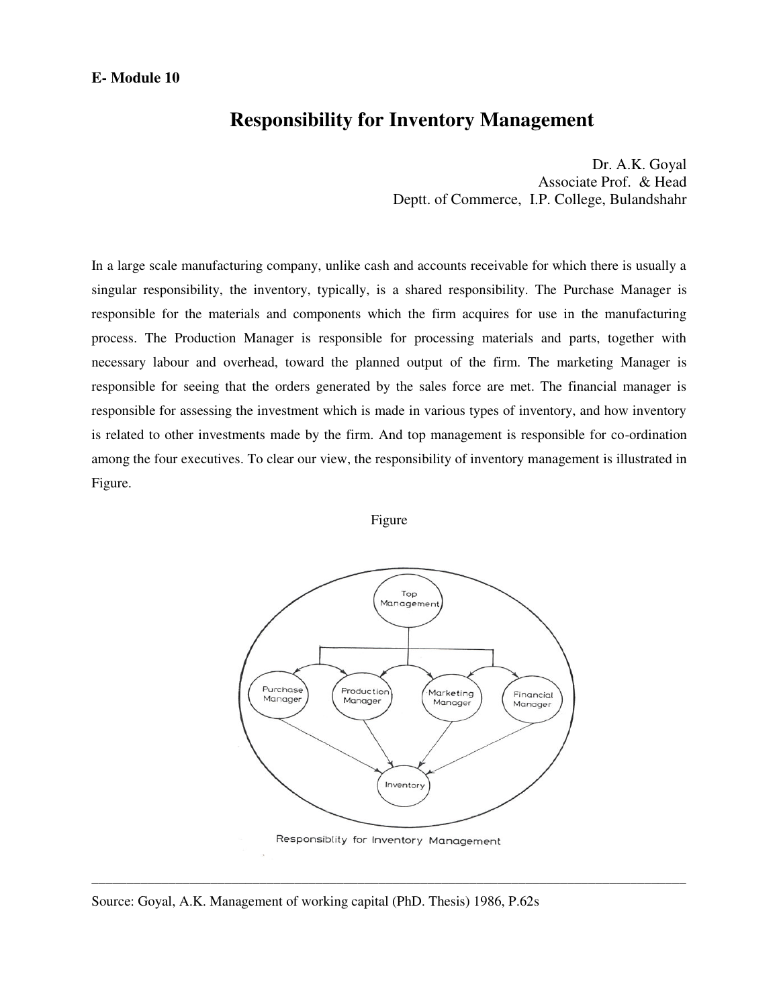### **Responsibility for Inventory Management**

Dr. A.K. Goyal Associate Prof. & Head Deptt. of Commerce, I.P. College, Bulandshahr

In a large scale manufacturing company, unlike cash and accounts receivable for which there is usually a singular responsibility, the inventory, typically, is a shared responsibility. The Purchase Manager is responsible for the materials and components which the firm acquires for use in the manufacturing process. The Production Manager is responsible for processing materials and parts, together with necessary labour and overhead, toward the planned output of the firm. The marketing Manager is responsible for seeing that the orders generated by the sales force are met. The financial manager is responsible for assessing the investment which is made in various types of inventory, and how inventory is related to other investments made by the firm. And top management is responsible for co-ordination among the four executives. To clear our view, the responsibility of inventory management is illustrated in Figure.

Figure



Responsiblity for Inventory Management

\_\_\_\_\_\_\_\_\_\_\_\_\_\_\_\_\_\_\_\_\_\_\_\_\_\_\_\_\_\_\_\_\_\_\_\_\_\_\_\_\_\_\_\_\_\_\_\_\_\_\_\_\_\_\_\_\_\_\_\_\_\_\_\_\_\_\_\_\_\_\_\_\_\_\_\_\_\_\_\_\_\_\_\_\_

Source: Goyal, A.K. Management of working capital (PhD. Thesis) 1986, P.62s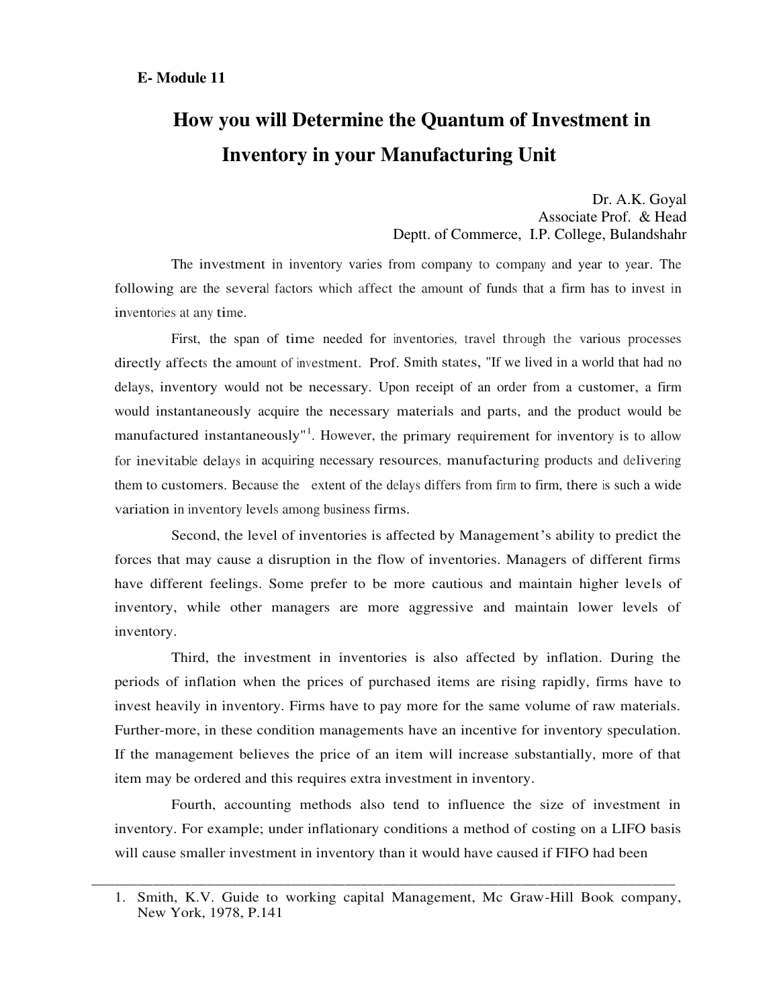# **How you will Determine the Quantum of Investment in Inventory in your Manufacturing Unit**

Dr. A.K. Goyal Associate Prof. & Head Deptt. of Commerce, I.P. College, Bulandshahr

The investment in inventory varies from company to company and year to year. The following are the several factors which affect the amount of funds that a firm has to invest in inventories at any time.

First, the span of time needed for inventories, travel through the various processes directly affects the amount of investment. Prof. Smith states, "If we lived in a world that had no delays, inventory would not be necessary. Upon receipt of an order from a customer, a firm would instantaneously acquire the necessary materials and parts, and the product would be manufactured instantaneously"<sup>1</sup>. However, the primary requirement for inventory is to allow for inevitable delays in acquiring necessary resources, manufacturing products and delivering them to customers. Because the extent of the delays differs from firm to firm, there is such a wide variation in inventory levels among business firms.

Second, the level of inventories is affected by Management's ability to predict the forces that may cause a disruption in the flow of inventories. Managers of different firms have different feelings. Some prefer to be more cautious and maintain higher levels of inventory, while other managers are more aggressive and maintain lower levels of inventory.

Third, the investment in inventories is also affected by inflation. During the periods of inflation when the prices of purchased items are rising rapidly, firms have to invest heavily in inventory. Firms have to pay more for the same volume of raw materials. Further-more, in these condition managements have an incentive for inventory speculation. If the management believes the price of an item will increase substantially, more of that item may be ordered and this requires extra investment in inventory.

Fourth, accounting methods also tend to influence the size of investment in inventory. For example; under inflationary conditions a method of costing on a LIFO basis will cause smaller investment in inventory than it would have caused if FIFO had been

\_\_\_\_\_\_\_\_\_\_\_\_\_\_\_\_\_\_\_\_\_\_\_\_\_\_\_\_\_\_\_\_\_\_\_\_\_\_\_\_\_\_\_\_\_\_\_\_\_\_\_\_\_\_\_\_\_\_\_\_\_\_\_\_\_\_\_\_\_\_\_\_\_\_\_\_

<sup>1.</sup> Smith, K.V. Guide to working capital Management, Mc Graw-Hill Book company, New York, 1978, P.141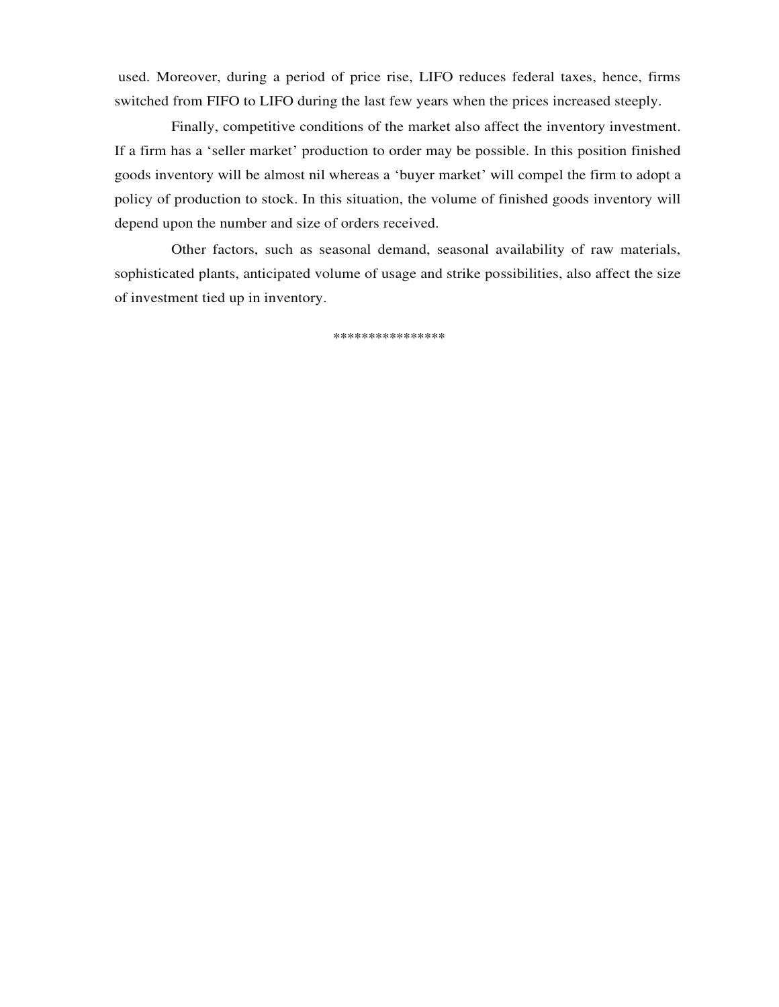used. Moreover, during a period of price rise, LIFO reduces federal taxes, hence, firms switched from FIFO to LIFO during the last few years when the prices increased steeply.

Finally, competitive conditions of the market also affect the inventory investment. If a firm has a 'seller market' production to order may be possible. In this position finished goods inventory will be almost nil whereas a 'buyer market' will compel the firm to adopt a policy of production to stock. In this situation, the volume of finished goods inventory will depend upon the number and size of orders received.

Other factors, such as seasonal demand, seasonal availability of raw materials, sophisticated plants, anticipated volume of usage and strike possibilities, also affect the size of investment tied up in inventory.

\*\*\*\*\*\*\*\*\*\*\*\*\*\*\*\*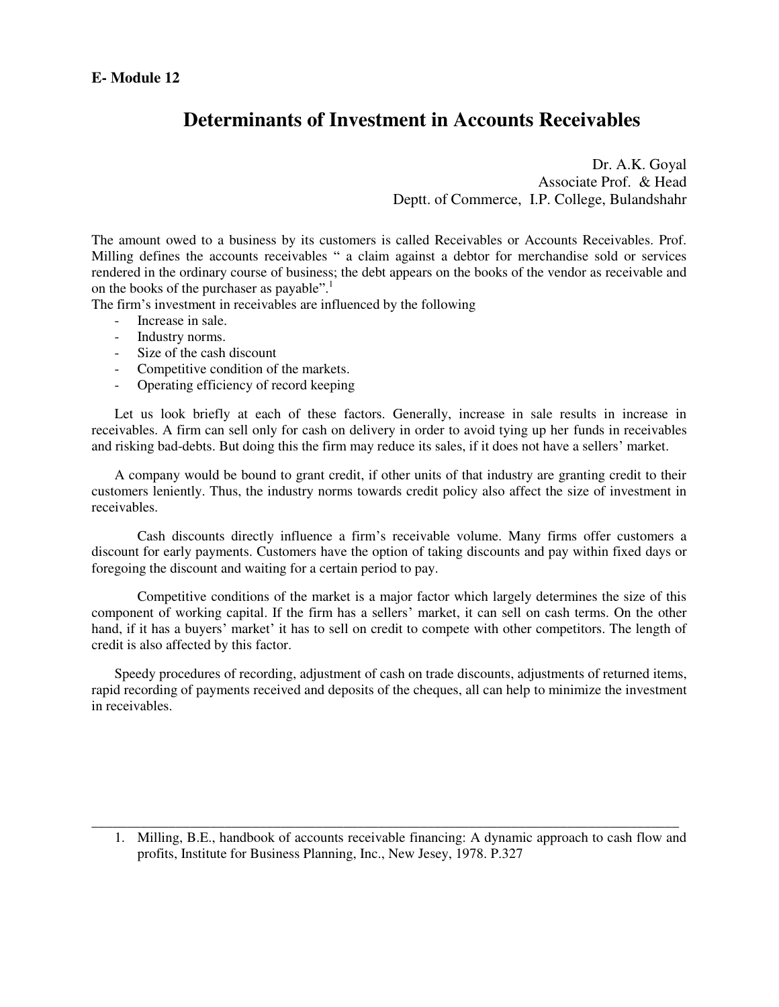## **Determinants of Investment in Accounts Receivables**

Dr. A.K. Goyal Associate Prof. & Head Deptt. of Commerce, I.P. College, Bulandshahr

The amount owed to a business by its customers is called Receivables or Accounts Receivables. Prof. Milling defines the accounts receivables " a claim against a debtor for merchandise sold or services rendered in the ordinary course of business; the debt appears on the books of the vendor as receivable and on the books of the purchaser as payable".<sup>1</sup>

The firm's investment in receivables are influenced by the following

- Increase in sale.
- Industry norms.
- Size of the cash discount
- Competitive condition of the markets.
- Operating efficiency of record keeping

Let us look briefly at each of these factors. Generally, increase in sale results in increase in receivables. A firm can sell only for cash on delivery in order to avoid tying up her funds in receivables and risking bad-debts. But doing this the firm may reduce its sales, if it does not have a sellers' market.

A company would be bound to grant credit, if other units of that industry are granting credit to their customers leniently. Thus, the industry norms towards credit policy also affect the size of investment in receivables.

 Cash discounts directly influence a firm's receivable volume. Many firms offer customers a discount for early payments. Customers have the option of taking discounts and pay within fixed days or foregoing the discount and waiting for a certain period to pay.

 Competitive conditions of the market is a major factor which largely determines the size of this component of working capital. If the firm has a sellers' market, it can sell on cash terms. On the other hand, if it has a buyers' market' it has to sell on credit to compete with other competitors. The length of credit is also affected by this factor.

Speedy procedures of recording, adjustment of cash on trade discounts, adjustments of returned items, rapid recording of payments received and deposits of the cheques, all can help to minimize the investment in receivables.

1. Milling, B.E., handbook of accounts receivable financing: A dynamic approach to cash flow and profits, Institute for Business Planning, Inc., New Jesey, 1978. P.327

\_\_\_\_\_\_\_\_\_\_\_\_\_\_\_\_\_\_\_\_\_\_\_\_\_\_\_\_\_\_\_\_\_\_\_\_\_\_\_\_\_\_\_\_\_\_\_\_\_\_\_\_\_\_\_\_\_\_\_\_\_\_\_\_\_\_\_\_\_\_\_\_\_\_\_\_\_\_\_\_\_\_\_\_